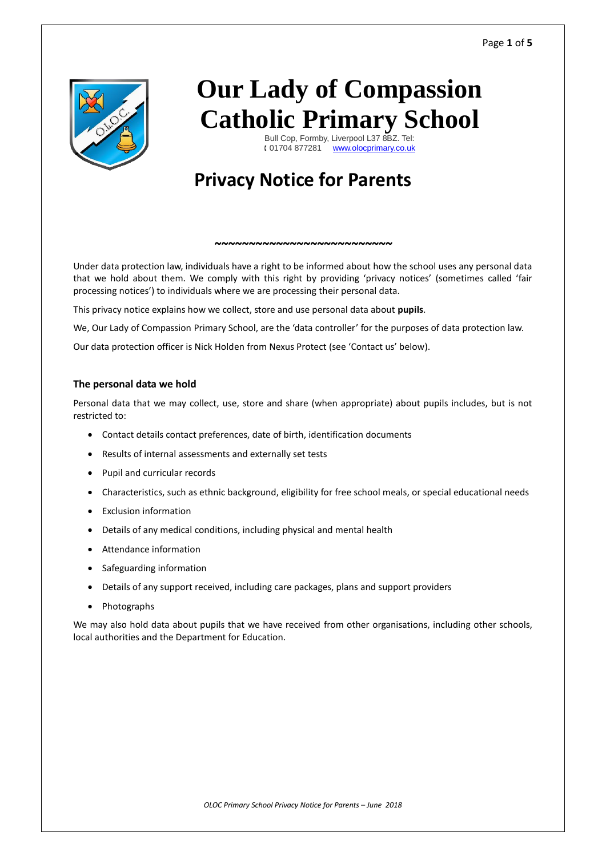

# **Our Lady of Compassion Catholic Primary School**

Bull Cop, Formby, Liverpool L37 8BZ. Tel: 01704 877281 [www.olocprimary.co.uk](http://www.olocprimary.co.uk/)

# **Privacy Notice for Parents**

Under data protection law, individuals have a right to be informed about how the school uses any personal data that we hold about them. We comply with this right by providing 'privacy notices' (sometimes called 'fair processing notices') to individuals where we are processing their personal data.

*~~~~~~~~~~~~~~~~~~~~~~~~~~*

This privacy notice explains how we collect, store and use personal data about **pupils**.

We, Our Lady of Compassion Primary School, are the 'data controller' for the purposes of data protection law.

Our data protection officer is Nick Holden from Nexus Protect (see 'Contact us' below).

# **The personal data we hold**

Personal data that we may collect, use, store and share (when appropriate) about pupils includes, but is not restricted to:

- Contact details contact preferences, date of birth, identification documents
- Results of internal assessments and externally set tests
- Pupil and curricular records
- Characteristics, such as ethnic background, eligibility for free school meals, or special educational needs
- Exclusion information
- Details of any medical conditions, including physical and mental health
- Attendance information
- Safeguarding information
- Details of any support received, including care packages, plans and support providers
- Photographs

We may also hold data about pupils that we have received from other organisations, including other schools, local authorities and the Department for Education.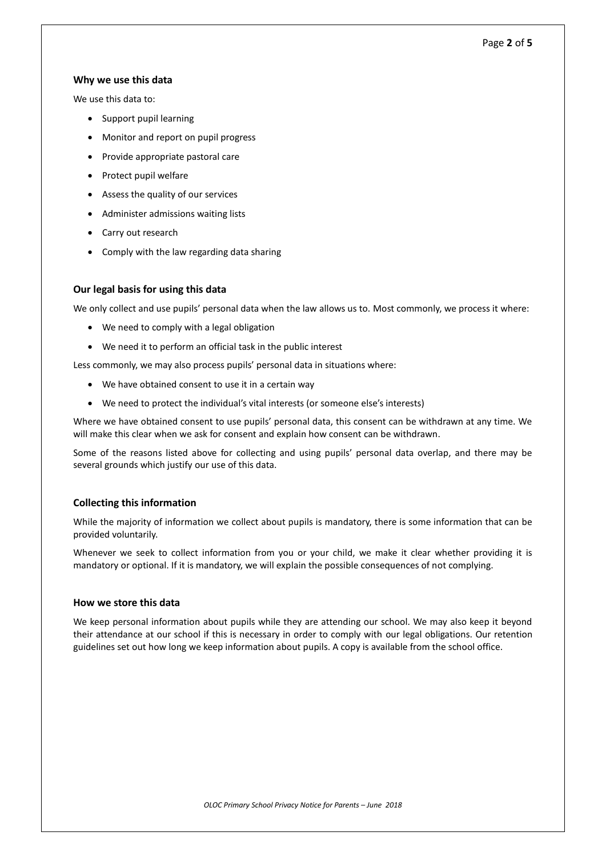# Page **2** of **5**

# **Why we use this data**

We use this data to:

- Support pupil learning
- Monitor and report on pupil progress
- Provide appropriate pastoral care
- Protect pupil welfare
- Assess the quality of our services
- Administer admissions waiting lists
- Carry out research
- Comply with the law regarding data sharing

# **Our legal basis for using this data**

We only collect and use pupils' personal data when the law allows us to. Most commonly, we process it where:

- We need to comply with a legal obligation
- We need it to perform an official task in the public interest

Less commonly, we may also process pupils' personal data in situations where:

- We have obtained consent to use it in a certain way
- We need to protect the individual's vital interests (or someone else's interests)

Where we have obtained consent to use pupils' personal data, this consent can be withdrawn at any time. We will make this clear when we ask for consent and explain how consent can be withdrawn.

Some of the reasons listed above for collecting and using pupils' personal data overlap, and there may be several grounds which justify our use of this data.

# **Collecting this information**

While the majority of information we collect about pupils is mandatory, there is some information that can be provided voluntarily.

Whenever we seek to collect information from you or your child, we make it clear whether providing it is mandatory or optional. If it is mandatory, we will explain the possible consequences of not complying.

# **How we store this data**

We keep personal information about pupils while they are attending our school. We may also keep it beyond their attendance at our school if this is necessary in order to comply with our legal obligations. Our retention guidelines set out how long we keep information about pupils. A copy is available from the school office.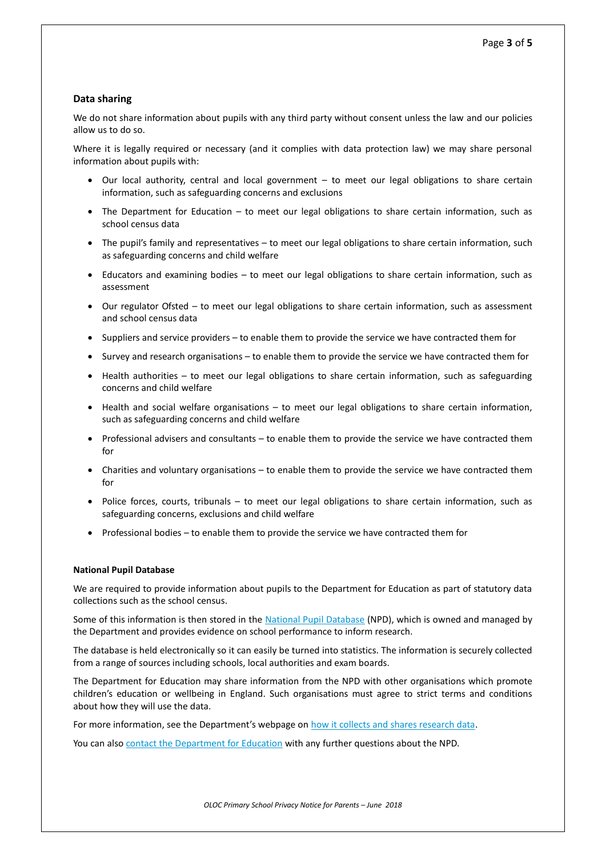# **Data sharing**

We do not share information about pupils with any third party without consent unless the law and our policies allow us to do so.

Where it is legally required or necessary (and it complies with data protection law) we may share personal information about pupils with:

- Our local authority, central and local government to meet our legal obligations to share certain information, such as safeguarding concerns and exclusions
- The Department for Education to meet our legal obligations to share certain information, such as school census data
- The pupil's family and representatives to meet our legal obligations to share certain information, such as safeguarding concerns and child welfare
- Educators and examining bodies to meet our legal obligations to share certain information, such as assessment
- Our regulator Ofsted to meet our legal obligations to share certain information, such as assessment and school census data
- Suppliers and service providers to enable them to provide the service we have contracted them for
- Survey and research organisations to enable them to provide the service we have contracted them for
- Health authorities to meet our legal obligations to share certain information, such as safeguarding concerns and child welfare
- Health and social welfare organisations to meet our legal obligations to share certain information, such as safeguarding concerns and child welfare
- Professional advisers and consultants to enable them to provide the service we have contracted them for
- Charities and voluntary organisations to enable them to provide the service we have contracted them for
- Police forces, courts, tribunals to meet our legal obligations to share certain information, such as safeguarding concerns, exclusions and child welfare
- Professional bodies to enable them to provide the service we have contracted them for

#### **National Pupil Database**

We are required to provide information about pupils to the Department for Education as part of statutory data collections such as the school census.

Some of this information is then stored in the [National Pupil Database](https://www.gov.uk/government/publications/national-pupil-database-user-guide-and-supporting-information) (NPD), which is owned and managed by the Department and provides evidence on school performance to inform research.

The database is held electronically so it can easily be turned into statistics. The information is securely collected from a range of sources including schools, local authorities and exam boards.

The Department for Education may share information from the NPD with other organisations which promote children's education or wellbeing in England. Such organisations must agree to strict terms and conditions about how they will use the data.

For more information, see the Department's webpage on [how it collects and shares research data.](https://www.gov.uk/data-protection-how-we-collect-and-share-research-data)

You can also [contact the Department for Education](https://www.gov.uk/contact-dfe) with any further questions about the NPD.

*OLOC Primary School Privacy Notice for Parents – June 2018*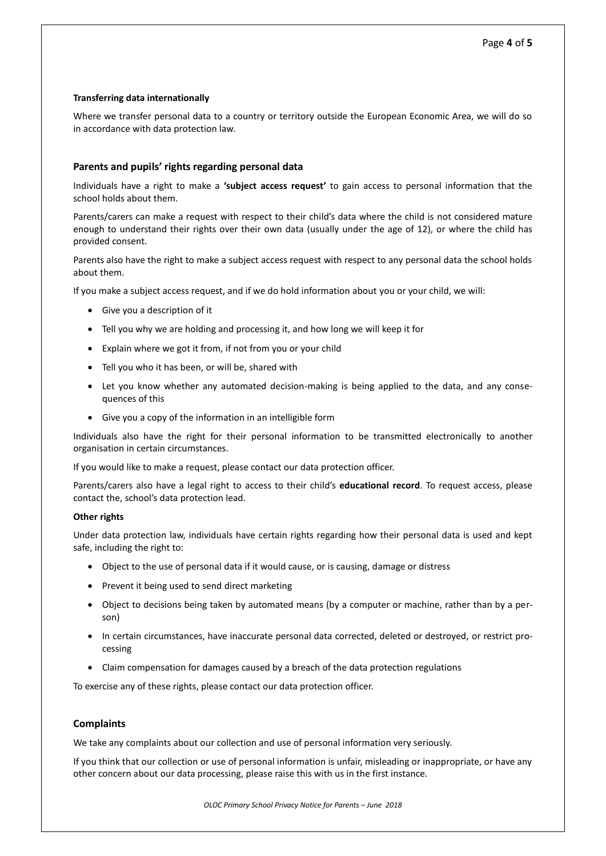#### **Transferring data internationally**

Where we transfer personal data to a country or territory outside the European Economic Area, we will do so in accordance with data protection law.

# **Parents and pupils' rights regarding personal data**

Individuals have a right to make a **'subject access request'** to gain access to personal information that the school holds about them.

Parents/carers can make a request with respect to their child's data where the child is not considered mature enough to understand their rights over their own data (usually under the age of 12), or where the child has provided consent.

Parents also have the right to make a subject access request with respect to any personal data the school holds about them.

If you make a subject access request, and if we do hold information about you or your child, we will:

- Give you a description of it
- Tell you why we are holding and processing it, and how long we will keep it for
- Explain where we got it from, if not from you or your child
- Tell you who it has been, or will be, shared with
- Let you know whether any automated decision-making is being applied to the data, and any consequences of this
- Give you a copy of the information in an intelligible form

Individuals also have the right for their personal information to be transmitted electronically to another organisation in certain circumstances.

If you would like to make a request, please contact our data protection officer.

Parents/carers also have a legal right to access to their child's **educational record**. To request access, please contact the, school's data protection lead.

#### **Other rights**

Under data protection law, individuals have certain rights regarding how their personal data is used and kept safe, including the right to:

- Object to the use of personal data if it would cause, or is causing, damage or distress
- Prevent it being used to send direct marketing
- Object to decisions being taken by automated means (by a computer or machine, rather than by a person)
- In certain circumstances, have inaccurate personal data corrected, deleted or destroyed, or restrict processing
- Claim compensation for damages caused by a breach of the data protection regulations

To exercise any of these rights, please contact our data protection officer.

# **Complaints**

We take any complaints about our collection and use of personal information very seriously.

If you think that our collection or use of personal information is unfair, misleading or inappropriate, or have any other concern about our data processing, please raise this with us in the first instance.